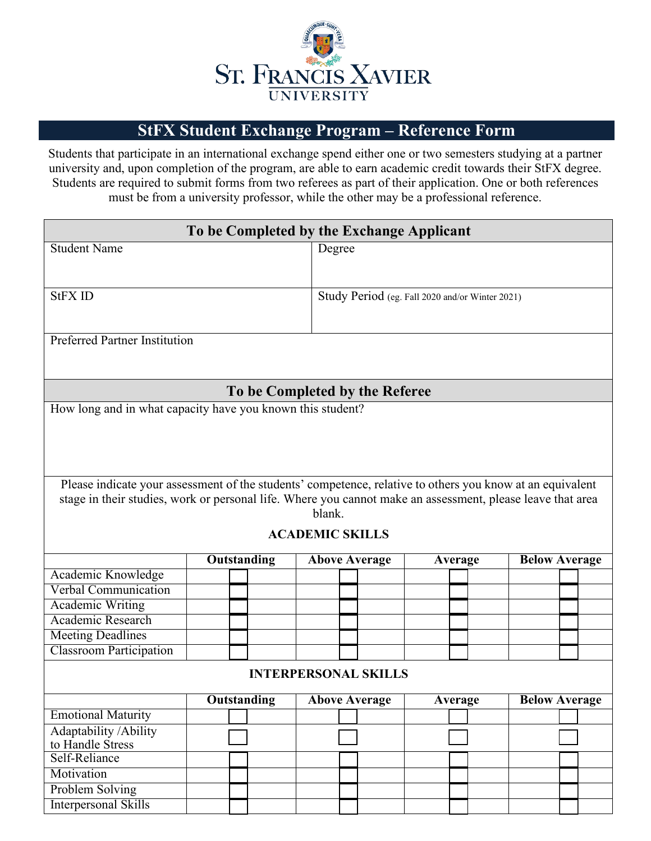

## **REFERENCE FORM FOR INTERNATIONAL EXCHANGE International Exchange Program Reference Form**

Students that participate in an international exchange spend either one or two semesters studying at a partner university and, upon completion of the program, are able to earn academic credit towards their StFX degree. Students are required to submit two references as part of their application. One or both references must be from a university professor, while the other may be a professional reference. References should be sent directly to the Education Abroad Advisor via email at: asheppar@stfx.ca.

| To be Completed by the Exchange Applicant                                                                  |             |  |        |                                                 |  |         |  |                      |  |
|------------------------------------------------------------------------------------------------------------|-------------|--|--------|-------------------------------------------------|--|---------|--|----------------------|--|
| <b>Student Name</b>                                                                                        |             |  | Degree |                                                 |  |         |  |                      |  |
|                                                                                                            |             |  |        |                                                 |  |         |  |                      |  |
|                                                                                                            |             |  |        |                                                 |  |         |  |                      |  |
| <b>StFX ID</b>                                                                                             |             |  |        | Study Period (eg. Fall 2022 and/or Winter 2023) |  |         |  |                      |  |
|                                                                                                            |             |  |        |                                                 |  |         |  |                      |  |
|                                                                                                            |             |  |        |                                                 |  |         |  |                      |  |
| <b>Preferred Partner Institution</b>                                                                       |             |  |        |                                                 |  |         |  |                      |  |
|                                                                                                            |             |  |        |                                                 |  |         |  |                      |  |
|                                                                                                            |             |  |        |                                                 |  |         |  |                      |  |
| To be Completed by the Referee                                                                             |             |  |        |                                                 |  |         |  |                      |  |
| How long and in what capacity have you known this student?                                                 |             |  |        |                                                 |  |         |  |                      |  |
|                                                                                                            |             |  |        |                                                 |  |         |  |                      |  |
|                                                                                                            |             |  |        |                                                 |  |         |  |                      |  |
|                                                                                                            |             |  |        |                                                 |  |         |  |                      |  |
|                                                                                                            |             |  |        |                                                 |  |         |  |                      |  |
| Please indicate your assessment of the students' competence, relative to others you know at an equivalent  |             |  |        |                                                 |  |         |  |                      |  |
| stage in their studies, work or personal life. Where you cannot make an assessment, please leave that area |             |  |        |                                                 |  |         |  |                      |  |
| blank.                                                                                                     |             |  |        |                                                 |  |         |  |                      |  |
| <b>ACADEMIC SKILLS</b>                                                                                     |             |  |        |                                                 |  |         |  |                      |  |
|                                                                                                            |             |  |        |                                                 |  |         |  |                      |  |
|                                                                                                            | Outstanding |  |        | <b>Above Average</b>                            |  | Average |  | <b>Below Average</b> |  |
| Academic Knowledge                                                                                         |             |  |        |                                                 |  |         |  |                      |  |
| <b>Verbal Communication</b>                                                                                |             |  |        |                                                 |  |         |  |                      |  |
| <b>Academic Writing</b>                                                                                    |             |  |        |                                                 |  |         |  |                      |  |
| Academic Research                                                                                          |             |  |        |                                                 |  |         |  |                      |  |
| <b>Meeting Deadlines</b>                                                                                   |             |  |        |                                                 |  |         |  |                      |  |
| <b>Classroom Participation</b>                                                                             |             |  |        |                                                 |  |         |  |                      |  |
| <b>INTERPERSONAL SKILLS</b>                                                                                |             |  |        |                                                 |  |         |  |                      |  |
| <b>Outstanding</b><br><b>Above Average</b><br><b>Below Average</b><br><b>Average</b>                       |             |  |        |                                                 |  |         |  |                      |  |
| <b>Emotional Maturity</b>                                                                                  |             |  |        |                                                 |  |         |  |                      |  |
| Adaptability / Ability                                                                                     |             |  |        |                                                 |  |         |  |                      |  |
| to Handle Stress                                                                                           |             |  |        |                                                 |  |         |  |                      |  |
| Self-Reliance                                                                                              |             |  |        |                                                 |  |         |  |                      |  |
| Motivation                                                                                                 |             |  |        |                                                 |  |         |  |                      |  |
| Problem Solving                                                                                            |             |  |        |                                                 |  |         |  |                      |  |
| <b>Interpersonal Skills</b>                                                                                |             |  |        |                                                 |  |         |  |                      |  |